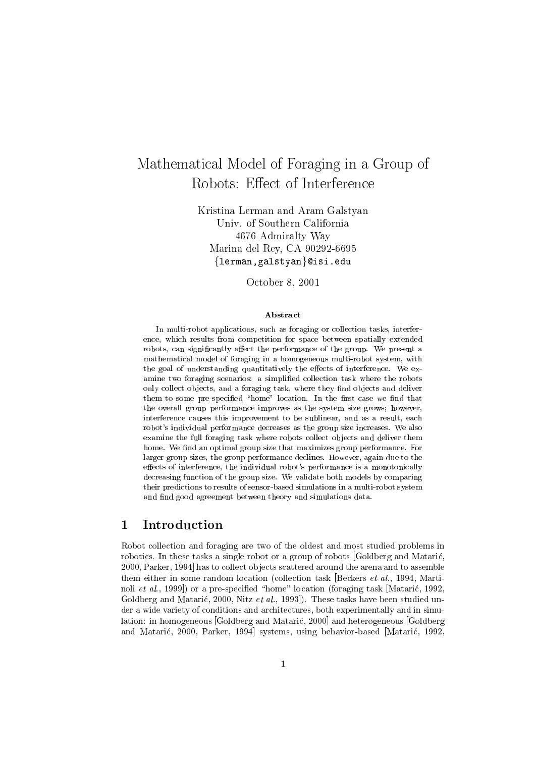# Mathematical Model of Foraging in <sup>a</sup> Group of Robots: Eect of Interference

Kristina Lerman and Aram Galstyan Univ. of Southern California 4676 Admiralty Way Marina del Rey, CA 90292-6695 {lerman, galstyan}@isi.edu

October 8, 2001

### Abstract

In multi-robot applications, such as foraging or collection tasks, interference, which results from competition for space between space between spatially extended by the spatial space o robots, can significantly affect the performance of the group. We present a mathematical model of foraging in a homogeneous multi-robot system, withthe goal of understanding quantitatively the eects of interference. We ex amine two foraging scenarios: <sup>a</sup> simplied collection task where the robots only collect objects, and a foraging task, where they find objects and deliver  $t$  inchiral to some pre-specified a home abcation. In the mist case we him that the overall group performance improves as the system size grows; however, interference causes this improvement to be sublinear, and as <sup>a</sup> result, each robot's individual performance decreases as the group size increases. We also examine the full foraging task where robots collect ob jects and deliver themhome. We nd an optimal group size that maximizes group performance. For larger group sizes, the group performance declines. However, again due to the effects of interference, the individual robot's performance is a monotonically decreasing function of the group size. We validate both models by comparing their predictions to results of sensor-based simulations in a multi-robot systemand find good agreement between theory and simulations data.

## 1 Introduction

Robot collection and foraging are two of the oldest and most studied problems in robotics. In these tasks a single robot or a group of robots [Goldberg and Mataric, 2000, Parker, 1994] has to collect ob jects scattered around the arena and to assemble them either in some random location (collection task Beckers *et al.*, 1994, Martinoli et al., 1999]) or a pre-specified "home" location (foraging task [Matarić, 1992, Goldberg and Matarić, 2000, Nitz et al., 1993. These tasks have been studied under a wide variety of conditions and architectures, both experimentally and in simulation: in homogeneous [Goldberg and Mataric, 2000] and heterogeneous [Goldberg and Mataric, 2000, Parker, 1994] systems, using behavior-based [Mataric, 1992,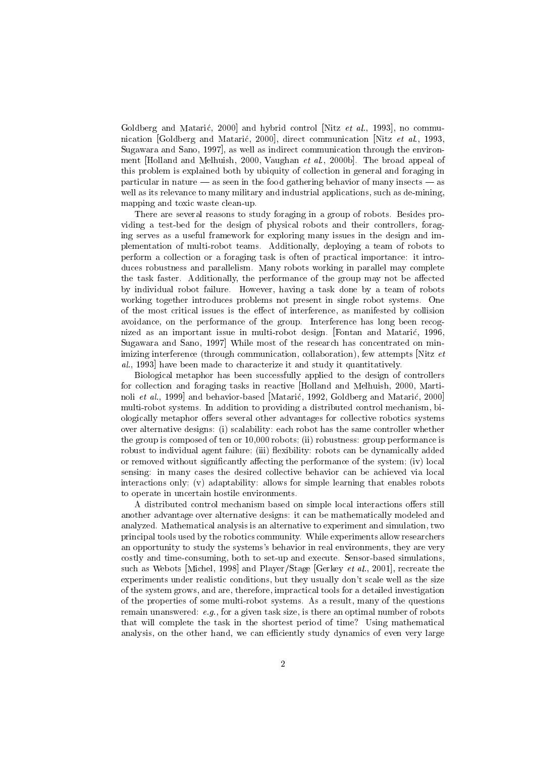Goldberg and Matarić, 2000 and hybrid control [Nitz et al., 1993], no communication [Goldberg and Mataric, 2000], direct communication [Nitz et al., 1993, Sugawara and Sano, 1997], as well as indirect communication through the environment [Holland and Melhuish, 2000, Vaughan et al., 2000b]. The broad appeal of this problem is explained both by ubiquity of collection in general and foraging in particular in nature  $-$  as seen in the food gathering behavior of many insects  $-$  as well as its relevance to many military and industrial applications, such as de-mining, mapping and toxic waste clean-up.

There are several reasons to study foraging in a group of robots. Besides providing a test-bed for the design of physical robots and their controllers, foraging serves as a useful framework for exploring many issues in the design and implementation of multi-robot teams. Additionally, deploying a team of robots to perform a collection or a foraging task is often of practical importance: it introduces robustness and parallelism. Many robots working in parallel may complete the task faster. Additionally, the performance of the group may not be affected by individual robot failure. However, having a task done by a team of robots working together introduces problems not present in single robot systems. One of the most critical issues is the eect of interference, as manifested by collision avoidance, on the performance of the group. Interference has long been recognized as an important issue in multi-robot design. [Fontan and Mataric, 1996, Sugawara and Sano, 1997] While most of the research has concentrated on minimizing interference (through communication, collaboration), few attempts Nitz et al., 1993] have been made to characterize it and study it quantitatively.

Biological metaphor has been successfully applied to the design of controllers for collection and foraging tasks in reactive [Holland and Melhuish, 2000, Martinoli et al., 1999] and behavior-based [Matarić, 1992, Goldberg and Matarić, 2000] multi-robot systems. In addition to providing a distributed control mechanism, biologically metaphor offers several other advantages for collective robotics systems over alternative designs: (i) scalability: each robot has the same controller whether the group is composed of ten or 10,000 robots; (ii) robustness: group performance is robust to individual agent failure; (iii) flexibility: robots can be dynamically added or removed without significantly affecting the performance of the system; (iv) local sensing: in many cases the desired collective behavior can be achieved via local interactions only; (v) adaptability: allows for simple learning that enables robots to operate in uncertain hostile environments.

A distributed control mechanism based on simple local interactions offers still another advantage over alternative designs: it can be mathematically modeled and analyzed. Mathematical analysis is an alternative to experiment and simulation, two principal tools used by the robotics community. While experiments allow researchers an opportunity to study the systems's behavior in real environments, they are very costly and time-consuming, both to set-up and execute. Sensor-based simulations, such as Webots [Michel, 1998] and Player/Stage [Gerkey *et al.*, 2001], recreate the experiments under realistic conditions, but they usually don't scale well as the size of the system grows, and are, therefore, impractical tools for a detailed investigation of the properties of some multi-robot systems. As a result, many of the questions remain unanswered: e.g., for a given task size, is there an optimal number of robots that will complete the task in the shortest period of time? Using mathematical analysis, on the other hand, we can efficiently study dynamics of even very large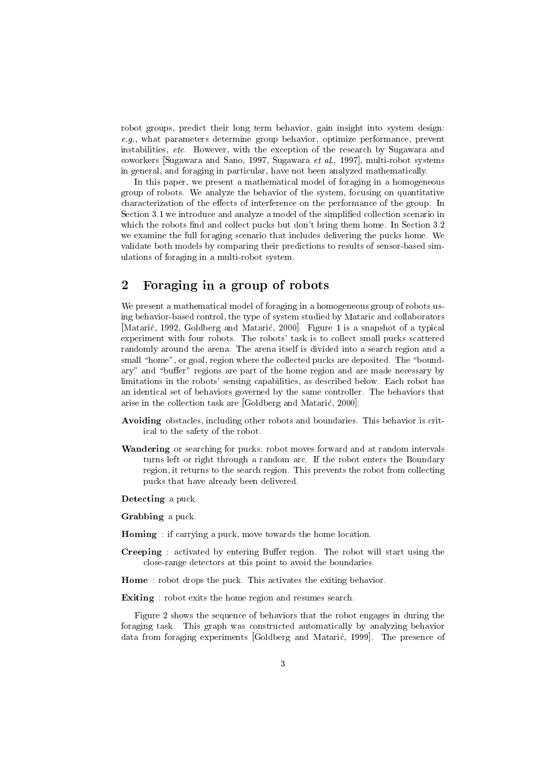robot groups, predict their long term behavior, gain insight into system design: e.g., what parameters determine group behavior, optimize performance, prevent instabilities, etc. However, with the exception of the research by Sugawara and coworkers [Sugawara and Sano, 1997, Sugawara et al., 1997], multi-robot systems in general, and foraging in particular, have not been analyzed mathematically.

In this paper, we present a mathematical model of foraging in a homogeneous group of robots. We analyze the behavior of the system, focusing on quantitative characterization of the effects of interference on the performance of the group. In Section 3.1 we introduce and analyze a model of the simplified collection scenario in which the robots find and collect pucks but don't bring them home. In Section  $3.2$ we examine the full foraging scenario that includes delivering the pucks home. We validate both models by comparing their predictions to results of sensor-based simulations of foraging in a multi-robot system.

## 2 Foraging in a group of robots

We present a mathematical model of foraging in a homogeneous group of robots using behavior-based control, the type of system studied by Mataric and collaborators [Mataric, 1992, Goldberg and Mataric, 2000]. Figure 1 is a snapshot of a typical experiment with four robots. The robots' task is to collect small pucks scattered randomly around the arena. The arena itself is divided into a search region and a small "home", or goal, region where the collected pucks are deposited. The "boundary" and "buffer" regions are part of the home region and are made necessary by limitations in the robots' sensing capabilities, as described below. Each robot has an identical set of behaviors governed by the same controller. The behaviors that arise in the collection task are [Goldberg and Mataric, 2000]:

- Avoiding obstacles, including other robots and boundaries. This behavior is critical to the safety of the robot.
- Wandering or searching for pucks: robot moves forward and at random intervals turns left or right through a random arc. If the robot enters the Boundary region, it returns to the search region. This prevents the robot from collecting pucks that have already been delivered.

Detecting a puck.

Grabbing a puck.

- Homing : if carrying a puck, move towards the home location.
- **Creeping**: activated by entering Buffer region. The robot will start using the close-range detectors at this point to avoid the boundaries.

Home : robot drops the puck. This activates the exiting behavior.

Exiting : robot exits the home region and resumes search.

Figure 2 shows the sequence of behaviors that the robot engages in during the foraging task. This graph was constructed automatically by analyzing behavior data from foraging experiments [Goldberg and Mataric, 1999]. The presence of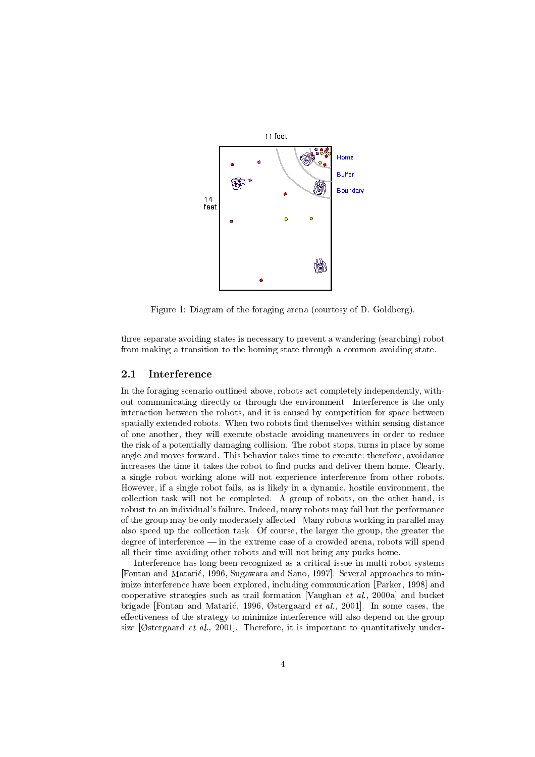

Figure 1: Diagram of the foraging arena (courtesy of D. Goldberg).

three separate avoiding states is necessary to prevent a wandering (searching) robot from making a transition to the homing state through a common avoiding state.

#### $2.1$ Interference

In the foraging scenario outlined above, robots act completely independently, without communicating directly or through the environment. Interference is the only interaction between the robots, and it is caused by competition for space between spatially extended robots. When two robots find themselves within sensing distance of one another, they will execute obstacle avoiding maneuvers in order to reduce the risk of a potentially damaging collision. The robot stops, turns in place by some angle and moves forward. This behavior takes time to execute; therefore, avoidance increases the time it takes the robot to find pucks and deliver them home. Clearly, a single robot working alone will not experience interference from other robots. However, if a single robot fails, as is likely in a dynamic, hostile environment, the collection task will not be completed. A group of robots, on the other hand, is robust to an individual's failure. Indeed, many robots may fail but the performance of the group may be only moderately affected. Many robots working in parallel may also speed up the collection task. Of course, the larger the group, the greater the degree of interference  $\frac{1}{m}$  in the extreme case of a crowded arena, robots will spend all their time avoiding other robots and will not bring any pucks home.

Interference has long been recognized as a critical issue in multi-robot systems [Fontan and Mataric, 1996, Sugawara and Sano, 1997]. Several approaches to minimize interference have been explored, including communication [Parker, 1998] and cooperative strategies such as trail formation [Vaughan *et al.*, 2000a] and bucket brigade [Fontan and Matarić, 1996, Østergaard et al., 2001]. In some cases, the effectiveness of the strategy to minimize interference will also depend on the group size  $[Ostergaard et al., 2001]$ . Therefore, it is important to quantitatively under-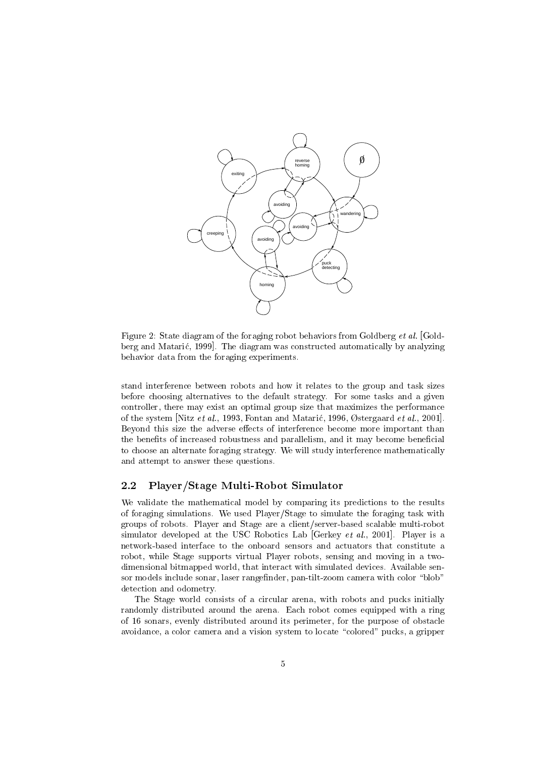

Figure 2: State diagram of the foraging robot behaviors from Goldberg et al. [Goldberg and Mataric, 1999]. The diagram was constructed automatically by analyzing behavior data from the foraging experiments.

stand interference between robots and how it relates to the group and task sizes before choosing alternatives to the default strategy. For some tasks and a given controller, there may exist an optimal group size that maximizes the performance of the system [Nitz et al., 1993, Fontan and Matarić, 1996, Østergaard et al., 2001]. Beyond this size the adverse effects of interference become more important than the benefits of increased robustness and parallelism, and it may become beneficial to choose an alternate foraging strategy. We will study interference mathematically and attempt to answer these questions.

## 2.2 Player/Stage Multi-Robot Simulator

We validate the mathematical model by comparing its predictions to the results of foraging simulations. We used Player/Stage to simulate the foraging task with groups of robots. Player and Stage are a client/server-based scalable multi-robot simulator developed at the USC Robotics Lab [Gerkey et al., 2001]. Player is a network-based interface to the onboard sensors and actuators that constitute a robot, while Stage supports virtual Player robots, sensing and moving in a twodimensional bitmapped world, that interact with simulated devices. Available sensor models include sonar, laser rangefinder, pan-tilt-zoom camera with color "blob" detection and odometry.

The Stage world consists of a circular arena, with robots and pucks initially randomly distributed around the arena. Each robot comes equipped with a ring of 16 sonars, evenly distributed around its perimeter, for the purpose of obstacle avoidance, a color camera and a vision system to locate "colored" pucks, a gripper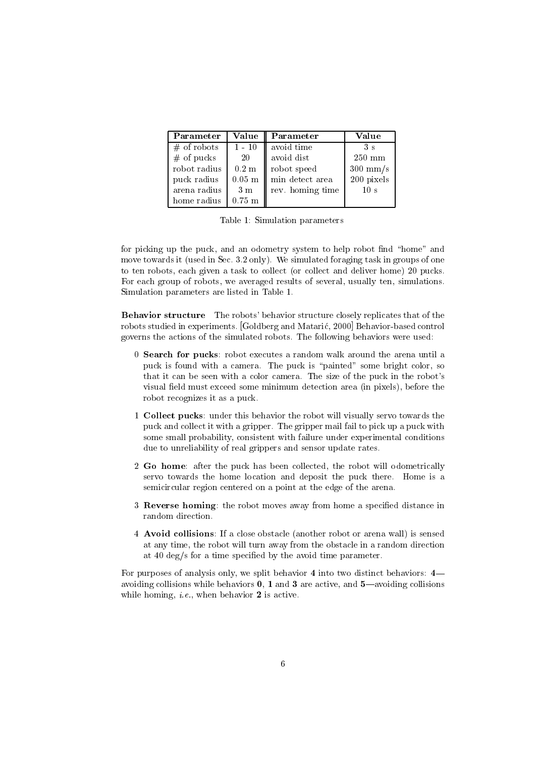| Parameter     | Value                | Parameter        | Value              |
|---------------|----------------------|------------------|--------------------|
| $#$ of robots | $1 - 10$             | avoid time       | 3 s                |
| $#$ of pucks  | 20                   | avoid dist       | $250 \text{ mm}$   |
| robot radius  | $0.2~\mathrm{m}$     | robot speed      | $300 \text{ mm/s}$ |
| puck radius   | $0.05$ m $\parallel$ | min detect area  | 200 pixels         |
| arena radius  | 3m                   | rev. homing time | 10 <sub>s</sub>    |
| home radius   | $0.75$ m             |                  |                    |

Table 1: Simulation parameters

for picking up the puck, and an odometry system to help robot find "home" and move towards it (used in Sec. 3.2 only). We simulated foraging task in groups of one to ten robots, each given a task to collect (or collect and deliver home) 20 pucks. For each group of robots, we averaged results of several, usually ten, simulations. Simulation parameters are listed in Table 1.

Behavior structure The robots' behavior structure closely replicates that of the robots studied in experiments. [Goldberg and Mataric, 2000] Behavior-based control governs the actions of the simulated robots. The following behaviors were used:

- 0 Search for pucks: robot executes a random walk around the arena until a puck is found with a camera. The puck is "painted" some bright color, so that it can be seen with a color camera. The size of the puck in the robot's visual field must exceed some minimum detection area (in pixels), before the robot recognizes it as a puck.
- 1 Collect pucks: under this behavior the robot will visually servo towards the puck and collect it with a gripper. The gripper mail fail to pick up a puck with some small probability, consistent with failure under experimental conditions due to unreliability of real grippers and sensor update rates.
- 2 Go home: after the puck has been collected, the robot will odometrically servo towards the home location and deposit the puck there. Home is a semicircular region centered on a point at the edge of the arena.
- 3 Reverse homing: the robot moves away from home a specied distance in random direction.
- 4 Avoid collisions: If a close obstacle (another robot or arena wall) is sensed at any time, the robot will turn away from the obstacle in a random direction at 40 deg/s for a time specied by the avoid time parameter.

For purposes of analysis only, we split behavior  $4$  into two distinct behaviors:  $4$ avoiding collisions while behaviors  $0, 1$  and  $3$  are active, and  $5$ —avoiding collisions while homing, *i.e.*, when behavior  $2$  is active.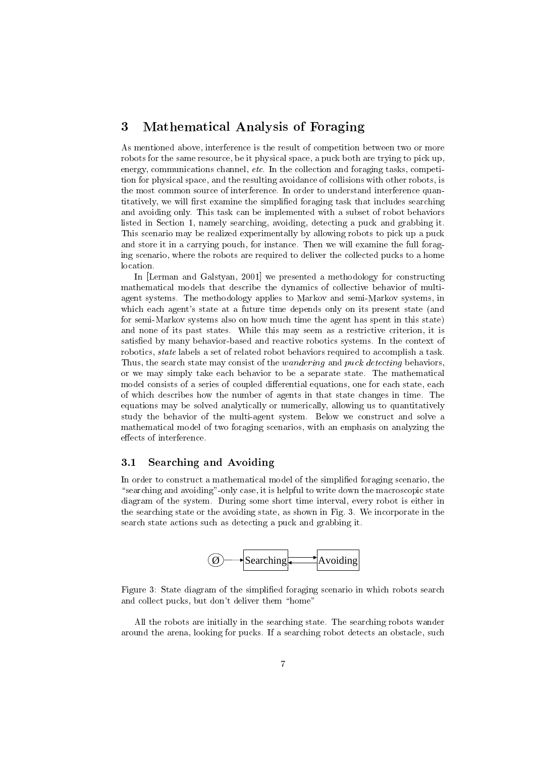## 3 Mathematical Analysis of Foraging

As mentioned above, interference is the result of competition between two or more robots for the same resource, be it physical space, a puck both are trying to pick up, energy, communications channel, etc. In the collection and foraging tasks, competition for physical space, and the resulting avoidance of collisions with other robots, is the most common source of interference. In order to understand interference quantitatively, we will first examine the simplified foraging task that includes searching and avoiding only. This task can be implemented with a subset of robot behaviors listed in Section 1, namely searching, avoiding, detecting a puck and grabbing it. This scenario may be realized experimentally by allowing robots to pick up a puck and store it in a carrying pouch, for instance. Then we will examine the full foraging scenario, where the robots are required to deliver the collected pucks to a home location.

In [Lerman and Galstyan, 2001] we presented a methodology for constructing mathematical models that describe the dynamics of collective behavior of multiagent systems. The methodology applies to Markov and semi-Markov systems, in which each agent's state at a future time depends only on its present state (and for semi-Markov systems also on how much time the agent has spent in this state) and none of its past states. While this may seem as a restrictive criterion, it is satisfied by many behavior-based and reactive robotics systems. In the context of robotics, state labels a set of related robot behaviors required to accomplish a task. Thus, the search state may consist of the *wandering* and *puck detecting* behaviors, or we may simply take each behavior to be a separate state. The mathematical model consists of a series of coupled differential equations, one for each state, each of which describes how the number of agents in that state changes in time. The equations may be solved analytically or numerically, allowing us to quantitatively study the behavior of the multi-agent system. Below we construct and solve a mathematical model of two foraging scenarios, with an emphasis on analyzing the effects of interference.

#### $3.1$ Searching and Avoiding

In order to construct a mathematical model of the simplied foraging scenario, the "searching and avoiding"-only case, it is helpful to write down the macroscopic state diagram of the system. During some short time interval, every robot is either in the searching state or the avoiding state, as shown in Fig. 3. We incorporate in the search state actions such as detecting a puck and grabbing it.



Figure 3: State diagram of the simplified foraging scenario in which robots search and collect pucks, but don't deliver them "home"

All the robots are initially in the searching state. The searching robots wander around the arena, looking for pucks. If a searching robot detects an obstacle, such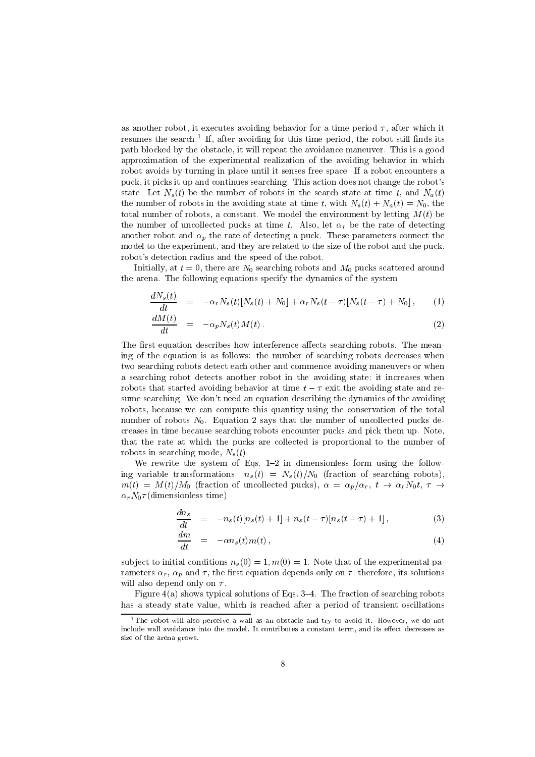as another robot, it executes avoiding behavior for a time period  $\tau$ , after which it resumes the search." It, after avoiding for this time period, the robot still finds its path blocked by the obstacle, it will repeat the avoidance maneuver. This is a good approximation of the experimental realization of the avoiding behavior in which robot avoids by turning in place until it senses free space. If a robot encounters a puck, it picks it up and continues searching. This action does not change the robot's state. Let  $N_s(t)$  be the number of robots in the search state at time t, and  $N_a(t)$ the number of robots in the avoiding state at time t, with  $N_s(t) + N_a(t) = N_0$ , the total number of robots, a constant. We model the environment by letting  $M(t)$  be the number of uncollected pucks at time t. Also, let  $\alpha_r$  be the rate of detecting another robot and  $\alpha_p$  the rate of detecting a puck. These parameters connect the model to the experiment, and they are related to the size of the robot and the puck, robot's detection radius and the speed of the robot.

Initially, at  $t = 0$ , there are  $N_0$  searching robots and  $M_0$  pucks scattered around the arena. The following equations specify the dynamics of the system:

$$
\frac{dN_s(t)}{dt} = -\alpha_r N_s(t)[N_s(t) + N_0] + \alpha_r N_s(t-\tau)[N_s(t-\tau) + N_0], \qquad (1)
$$

$$
\frac{dM(t)}{dt} = -\alpha_p N_s(t)M(t) \tag{2}
$$

The first equation describes how interference affects searching robots. The meaning of the equation is as follows: the number of searching robots decreases when two searching robots detect each other and commence avoiding maneuvers or when a searching robot detects another robot in the avoiding state; it increases when robots that started avoiding behavior at time  $t - \tau$  exit the avoiding state and resume searching. We don't need an equation describing the dynamics of the avoiding robots, because we can compute this quantity using the conservation of the total number of robots  $N_0$ . Equation 2 says that the number of uncollected pucks decreases in time because searching robots encounter pucks and pick them up. Note, that the rate at which the pucks are collected is proportional to the number of robots in searching mode,  $N_s(t)$ .

We rewrite the system of Eqs.  $1-2$  in dimensionless form using the following variable transformations:  $n_s(t) = N_s(t)/N_0$  (fraction of searching robots),  $m(t) = M(t)/M_0$  (fraction of uncollected pucks),  $\alpha = \alpha_p/\alpha_r$ ,  $t \to \alpha_r N_0 t$ ,  $\tau \to$  $\alpha_r N_0 \tau$ (dimensionless time)

$$
\frac{dn_s}{dt} = -n_s(t)[n_s(t) + 1] + n_s(t - \tau)[n_s(t - \tau) + 1], \qquad (3)
$$

$$
\frac{dm}{dt} = -\alpha n_s(t)m(t) \,, \tag{4}
$$

subject to initial conditions  $n_s(0) = 1$ ,  $m(0) = 1$ . Note that of the experimental parameters  $\alpha_r$ ,  $\alpha_p$  and  $\tau$ , the first equation depends only on  $\tau$ ; therefore, its solutions will also depend only on  $\tau$ .

Figure  $4(a)$  shows typical solutions of Eqs. 3-4. The fraction of searching robots has a steady state value, which is reached after a period of transient oscillations

<sup>1</sup>The robot will also perceiveawall as an obstacle and try to avoid it. However, we do not include wall avoidance into the model. It contributes a constant term, and its eect decreases as size of the arena grows.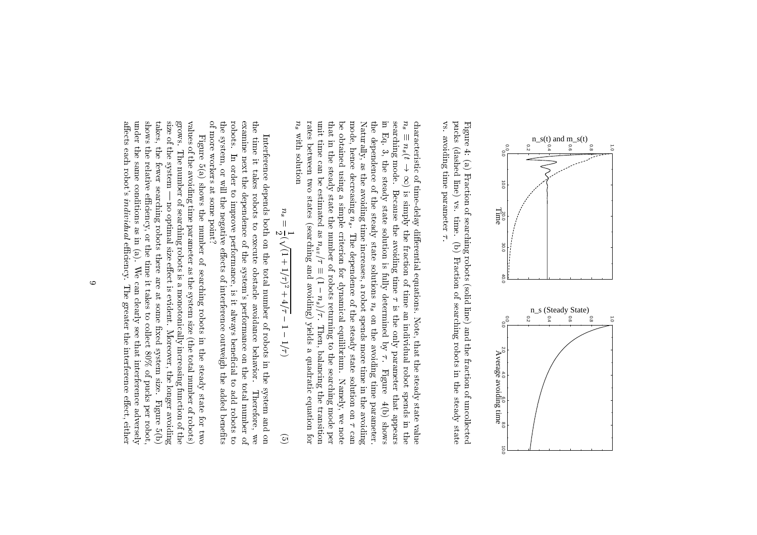

vs. avoiding time parameter  $\tau$ . pucks (dashed line) vs. time. (b) Fraction of searching robots in the steady state Figure 4: (a) Fraction of searching robots (solid line) and the fraction of uncollected vs.pucks (dashed line) vs. $\ddot{ }$ (a) Fraction of searching robots (solid line) and the fraction of uncollected value) and the fraction of uncollected value  $\frac{1}{\sqrt{2}}$  time. $\ddot{\phantom{a}}$  .  $\begin{bmatrix} 1 \\ 2 \end{bmatrix}$ 

avoiding time parameter

 $n_s$  with solution rates between two states (searching and avoiding) yields a quadratic equation for unit time can be estimated as  $n_{av}/\tau \equiv (1-n_s)/\tau$ . Then, balancing the transition that in the steady state the number of robots returning to the searching mode per be obtained using a simple criterion for dynamical equilibrium. mode, hence decreasing  $n_s$ . Naturally, as the avoiding time increases, a robot spends more time in the avoiding the dependence of the steady state solutions  $n_s$  on the avoiding time parameter. in Eq. 3, searching mode. characteristic of time-delay differential equations. Note, that the steady state value  $n_s \equiv n_s(t \to \infty)$  is simply the fraction of time an individual robot spends in the i<br>S rates betweenunit time can be estimated as  $\mathcal{C}^{\mathcal{A}}$  . The estimated as  $\mathcal{C}^{\mathcal{A}}$ that in the steady state the steady state the searching mode per robots returning to the searching mode per robots returning mode per robots returning to the searching mode per robots returning mode per robots returning mo i<br>C mode, hence decreasing the contract of the contract of the contract of the contract of the contract of the contract of the contract of the contract of the contract of the contract of the contract of the contract of the con Naturally, as the avoiding time increases, a robot spends more time in the avoidingtheinsearching mode.i<br>S characteristic of time-delay dierential equations. Eq. 3,with solution of the solution of the solution of the solution of the solution of the solution of the solution of the solution of the solution of the solution of the solution of the solution of the solution of the solution obtained֦֧֦֧֦֧֦֧֦֧֦֧ׅ֧֦֧֢֧֦֧ׅ֧֦֧֜֓֓֜֜֓<br>֧֧ׅ֧֧֪֪֪֪֦֧֪֪֪֪֪֪֪֪֪֪֪֪֪֪֪֪֪֪֪֪֪֪֪֪֪֪֪֪֜֜֓֜֓֓֝֬֜֜ dependence of the contract of the contract of the contract of the contract of the contract of the contract of the contract of the contract of the contract of the contract of the contract of the contract of the contract of ns(t ! 1) is simply thethe steady state solution is fully determined by thel<br>i steady two states (searching and avoiding) yields a quadratic equation forBecause the avoiding time  $\tau$  is the only parameter that appears of Because the avoiding time the simplestate in the contract of the contract of the contract of the contract of the contract of the contract of the contract of the contract of the contract of the contract of the contract of the contract of the contract of the c steadyns. The dependence of the steady state solution on the steady state solution on the steady state solution on the steady state solution on the steady state solution on the steady state solution on the steady state solution solution criterion forThe dependence of the steady state solution on  $\tau$  can nav=state and the state of the control fraction of time isfully solutions $\frac{1}{1}$ (1)<br>(1)<br>(1)<br>(1)<br>(1) dynamical equilibrium.determined and the control of the control of the control of the control of the control of the control of the control of the control of the control of the control of the control of the control of the control of the control ns)<br>=<br>.<br>Then, balancing the transition i<br>Se ns is thean individual di dual di dual di dual di dual di dual di dual di dual di dual di dual di dual di dual di dual di dual di dual di dual di dual di dual di dual di dual di dual di dual di dual di dual di dual di dual di dual on Note, that the steady state valuethe contract of the contract of the contract of the contract of the contract of the contract of the contract of the contract of the contract of the contract of the contract of the contract of the contract of the contract o only parameter that.<br>.<br>. avoiding $\overline{H}$  . FigureFigure robotNamely, we note Namely, time spends in $4(b)$  shows parameter. 4(b)we note that the contract of the contract of the contract of the contract of the contract of the contract of t appears shows.<br>can the contract of the contract of the contract of the contract of the contract of the contract of the contract of the contract of the contract of the contract of the contract of the contract of the contract of the contract o

$$
n_s = \frac{1}{2}(\sqrt{(1+1/\tau)^2 + 4/\tau} - 1 - 1/\tau)
$$
 (5)

of more workers at some point? the system, or will the negative effects of interference outweigh the added benefits robots. examine next the dependence of the system's performance on the total number of the time it takes of more workers at some point?the system, or will the negative eects of interference outweigh the added benetsrobots.examine next the dependence of the system's performance on the total number oftheInterference depends both on the total number of robots in the system and on time it takes robots to execute obstacle avoidance behavior. Therefore, we Interference depends both on the total number of robots in the system and on timeIn order to improve performance, is it always beneficial to add robots to |<br>|<br>| it order to takes robots improve performance, to execute obstacle is it avoidance always benecial behavior. to add Therefore, robots to.<br>C

svovs. affects each robot's individual efficiency. under the same conditions as in  $(a)$ . We can clearly see that interference adversely shows the relative efficiency, or the time it takes to collect  $80\%$  of pucks per robot, takes, the fewer searching robots there are at some fixed system size. size of the system values of the avoiding time parameter as the system size (the total number of robots) aects each robot'sunder the same conditions as in (a).shows the relative eciency, or the time it takes to collect 80% of pucks per robot,takes, the fewer searching robots there are at some xed system size.size of the system | no optimal size eect is evident.grows. values of the avoiding time parameter as the system size (the total number of robots) Figure  $5(a)$  shows the number of searching robots in the steady state for two FigureThe number of searching robots is a monotonically increasing function of the The number of searching robots is a monotonically increasing function of the 5(a) showsindividual contractor and the contractor of the contractor of the contractor of the contractor of the contractor of the contractor of the contractor of the contractor of the contractor of the contractor of the contractor o no optimal size effect is evident. Moreover, the longer avoiding thenumber of the control eciency. of We can clearly see that interference adversely searchingThe greater the interference effect, either The greater the interference eect, either robots Moreover, the longer avoiding inthe cocon steadystate of the cost Figure 5(b) Figure 5<br>5<br>5 fortwo<br>C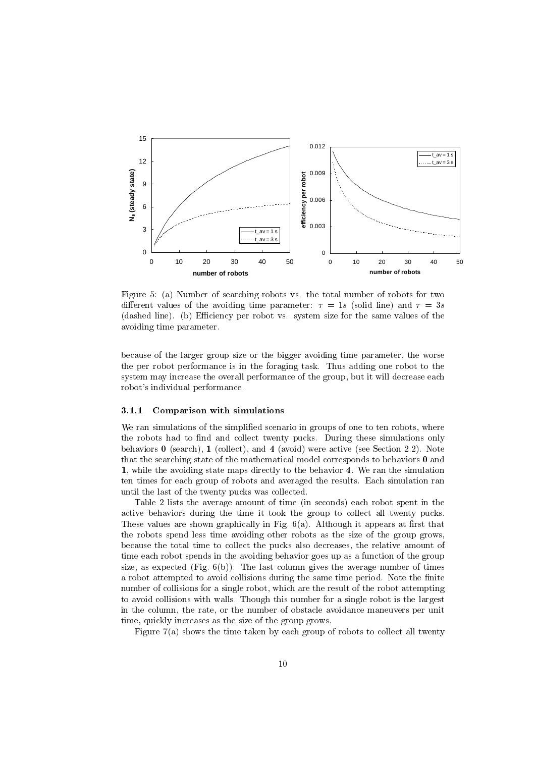

Figure 5: (a) Number of searching robots vs. the total number of robots for two different values of the avoiding time parameter:  $\tau = 1s$  (solid line) and  $\tau = 3s$ (dashed line). (b) Efficiency per robot vs. system size for the same values of the avoiding time parameter.

because of the larger group size or the bigger avoiding time parameter, the worse the per robot performance is in the foraging task. Thus adding one robot to the system may increase the overall performance of the group, but it will decrease each robot's individual performance.

### 3.1.1 Comparison with simulations

We ran simulations of the simplified scenario in groups of one to ten robots, where the robots had to find and collect twenty pucks. During these simulations only behaviors  $\bf{0}$  (search),  $\bf{1}$  (collect), and  $\bf{4}$  (avoid) were active (see Section 2.2). Note that the searching state of the mathematical model corresponds to behaviors  $\bf{0}$  and 1, while the avoiding state maps directly to the behavior 4. We ran the simulation ten times for each group of robots and averaged the results. Each simulation ran until the last of the twenty pucks was collected.

Table 2 lists the average amount of time (in seconds) each robot spent in the active behaviors during the time it took the group to collect all twenty pucks. These values are shown graphically in Fig.  $6(a)$ . Although it appears at first that the robots spend less time avoiding other robots as the size of the group grows, because the total time to collect the pucks also decreases, the relative amount of time each robot spends in the avoiding behavior goes up as a function of the group size, as expected (Fig.  $6(b)$ ). The last column gives the average number of times a robot attempted to avoid collisions during the same time period. Note the finite number of collisions for a single robot, which are the result of the robot attempting to avoid collisions with walls. Though this number for a single robot is the largest in the column, the rate, or the number of obstacle avoidance maneuvers per unit time, quickly increases as the size of the group grows.

Figure 7(a) shows the time taken by each group of robots to collect all twenty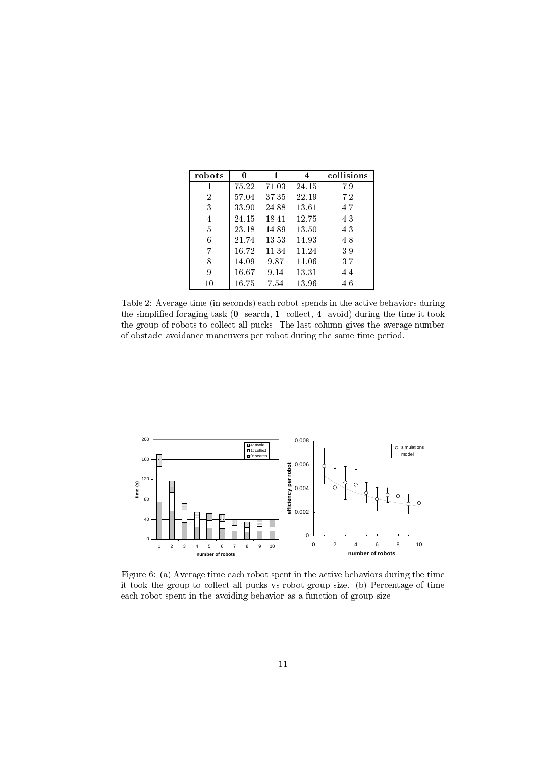| robots         | 0     | 1     | 4     | collisions |
|----------------|-------|-------|-------|------------|
|                | 75.22 | 71.03 | 24.15 | 7.9        |
| $\overline{2}$ | 57.04 | 37.35 | 22.19 | 7.2        |
| 3              | 33.90 | 24.88 | 13.61 | 4.7        |
| 4              | 24.15 | 18.41 | 12.75 | 4.3        |
| 5              | 23.18 | 14.89 | 13.50 | 4.3        |
| 6              | 21.74 | 13.53 | 14.93 | 4.8        |
| 7              | 16.72 | 11.34 | 11.24 | 3.9        |
| 8              | 14.09 | 9.87  | 11.06 | 3.7        |
| 9              | 16.67 | 9.14  | 13.31 | 4.4        |
| 10             | 16.75 | 7.54  | 13.96 | 4.6        |

Table 2: Average time (in seconds) each robot spends in the active behaviors during the simplied foraging task (0: search, 1: collect, 4: avoid) during the time it took the group of robots to collect all pucks. The last column gives the average number of obstacle avoidance maneuvers per robot during the same time period.



Figure 6: (a) Average time each robot spent in the active behaviors during the time it took the group to collect all pucks vs robot group size. (b) Percentage of time each robot spent in the avoiding behavior as a function of group size.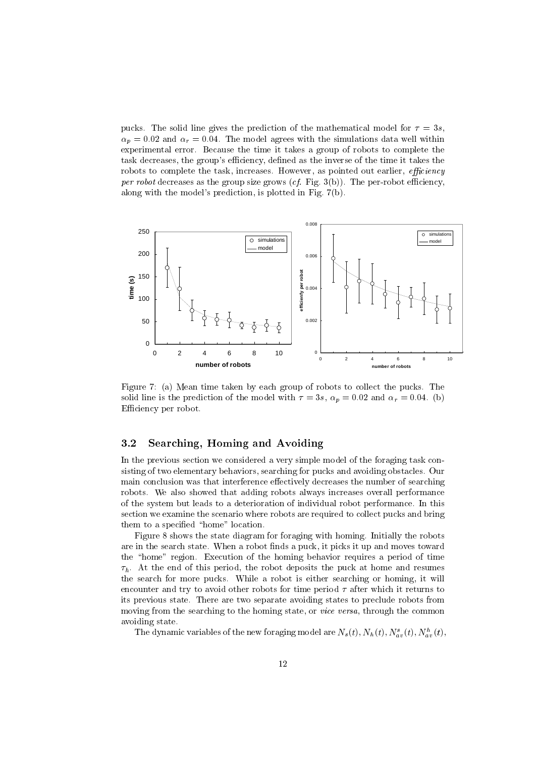pucks. The solid line gives the prediction of the mathematical model for  $\tau = 3s$ ,  $\alpha_p = 0.02$  and  $\alpha_r = 0.04$ . The model agrees with the simulations data well within experimental error. Because the time it takes a group of robots to complete the task decreases, the group's efficiency, defined as the inverse of the time it takes the robots to complete the task, increases. However, as pointed out earlier, *efficiency* per robot decreases as the group size grows  $(cf.$  Fig. 3(b)). The per-robot efficiency, along with the model's prediction, is plotted in Fig. 7(b).



Figure 7: (a) Mean time taken by each group of robots to collect the pucks. The solid line is the prediction of the model with  $\tau = 3s$ ,  $\alpha_p = 0.02$  and  $\alpha_r = 0.04$ . (b) Efficiency per robot.

## 3.2 Searching, Homing and Avoiding

In the previous section we considered a very simple model of the foraging task consisting of two elementary behaviors, searching for pucks and avoiding obstacles. Our main conclusion was that interference effectively decreases the number of searching robots. We also showed that adding robots always increases overall performance of the system but leads to a deterioration of individual robot performance. In this section we examine the scenario where robots are required to collect pucks and bring them to a specified "home" location.

Figure 8 shows the state diagram for foraging with homing. Initially the robots are in the search state. When a robot finds a puck, it picks it up and moves toward the "home" region. Execution of the homing behavior requires a period of time  $\tau_h$ . At the end of this period, the robot deposits the puck at home and resumes the search for more pucks. While a robot is either searching or homing, it will encounter and try to avoid other robots for time period  $\tau$  after which it returns to its previous state. There are two separate avoiding states to preclude robots from moving from the searching to the homing state, or *vice versa*, through the common avoiding state.

The dynamic variables of the new foraging model are  $N_s(t), N_h(t), N_{av}^*(t), N_{av}^*(t),$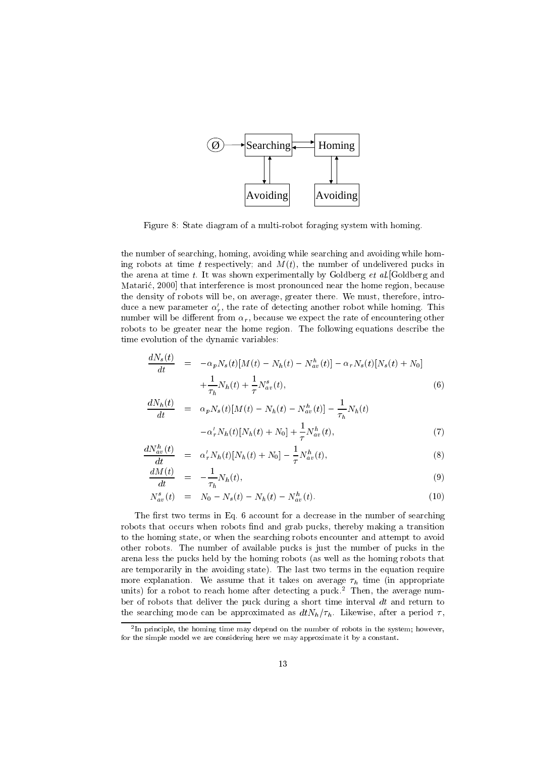

Figure 8: State diagram of a multi-robot foraging system with homing.

the number of searching, homing, avoiding while searching and avoiding while homing robots at time t respectively; and  $M(t)$ , the number of undelivered pucks in the arena at time t. It was shown experimentally by Goldberg  $et \ al.$  [Goldberg and Mataric, 2000] that interference is most pronounced near the home region, because the density of robots will be, on average, greater there. We must, therefore, introduce a new parameter  $\alpha'_r$ , the rate of detecting another robot while homing. This number will be different from  $\alpha_r$ , because we expect the rate of encountering other robots to be greater near the home region. The following equations describe the time evolution of the dynamic variables:

$$
\frac{dN_s(t)}{dt} = -\alpha_p N_s(t)[M(t) - N_h(t) - N_{av}^h(t)] - \alpha_r N_s(t)[N_s(t) + N_0] + \frac{1}{\tau_h} N_h(t) + \frac{1}{\tau} N_{av}^s(t),
$$
\n(6)

$$
\frac{dN_h(t)}{dt} = \alpha_p N_s(t)[M(t) - N_h(t) - N_{av}^h(t)] - \frac{1}{\tau_h} N_h(t) -\alpha'_r N_h(t)[N_h(t) + N_0] + \frac{1}{\tau} N_{av}^h(t), \tag{7}
$$

$$
\frac{dN_{av}^h(t)}{dt} = \alpha'_r N_h(t)[N_h(t) + N_0] - \frac{1}{\tau} N_{av}^h(t), \tag{8}
$$

$$
\frac{dM(t)}{dt} = -\frac{1}{\tau_h} N_h(t),\tag{9}
$$

$$
N_{av}^{s}(t) = N_0 - N_s(t) - N_h(t) - N_{av}^{h}(t). \qquad (10)
$$

The first two terms in Eq. 6 account for a decrease in the number of searching robots that occurs when robots find and grab pucks, thereby making a transition to the homing state, or when the searching robots encounter and attempt to avoid other robots. The number of available pucks is just the number of pucks in the arena less the pucks held by the homing robots (as well as the homing robots that are temporarily in the avoiding state). The last two terms in the equation require more explanation. We assume that it takes on average  $\tau_h$  time (in appropriate units) for a robot to reach home after detecting a puck.<sup>2</sup> Then, the average number of robots that deliver the puck during a short time interval  $dt$  and return to the searching mode can be approximated as  $dtN_h/\tau_h$ . Likewise, after a period  $\tau$ ,

h

<sup>2</sup> In principle, the homing time may depend on the number of robots in the system; however,for the simple model we are considering here we may approximate it by a constant.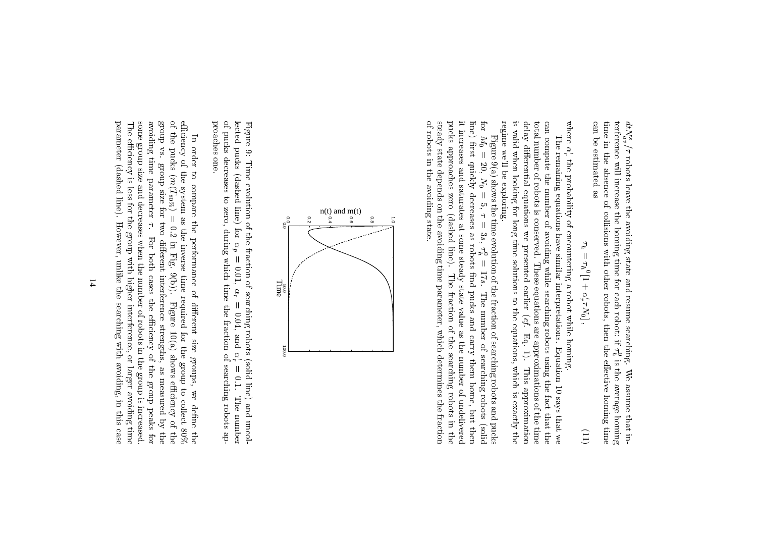can be estimated as time in the absence of collisions with other robots, then the effective homing time can be estimated as  $\frac{1}{2}$ time in the absence of collisions with other robots, then the eective homing timeterference will increase the homing time for each robot:dtNavs $\overline{11}$  robots leave the avoiding state and resume searching. if h $\mathbf c$ is the average homingWe assume that in-

$$
\tau_h = \tau_h^0 [1 + \alpha'_r \tau N_0], \tag{11}
$$

.<br>Where  $\frac{1}{2}$ real and the contract of the contract of the contract of the contract of the contract of the contract of the contract of the contract of the contract of the contract of the contract of the contract of the contract of the c 0the probability of encountering a robot while homing.

regime we'll be exploring. is valid when looking for long time solutions to the equations, which is exactly the delay differential equations we presented earlier  $(cf. Eq. 1)$ . can compute the number of avoiding while searching robots using the fact that the total number of robots is conserved. These equations are approximations of the time regime we'll be exploring.is valid when looking for long time solutions to the equations, which is exactly thedelaytotal number of robots is conserved.can compute the number of avoiding while searching robots using the fact that theThe remaining equations have similar interpretations. Equation 10 says that we The remaining equations have similar interpretations.die entstellingen die Gesells eine Statistike eine Statistike eine Statistike eine Statistike eine Statistike e<br>C :<br><<br>< presented These equations are approximations of the timeearlier (cf. 1919) Eq. Equation 10 says that we 1).This approximation Thisapproximation

pucks approaches zero (dashed line). The fraction of the searching robots in the of robots in the avoiding state. steady state depends on the avoiding time parameter, which determines the fraction it increases and saturates at some steady state value as the number of undelivered for  $M_0 = 20$ , of robots in the avoiding state.steady state depends on the avoiding time parameter, which determines the fractionpucksit increases and saturates at some steady state value as the number of undeliveredline) first quickly decreases as robots find pucks and carry them home, but then line)forFigure 9(a) shows the time evolution of the fraction of searching robots and pucks Figure 9(a) shows the time evolution of the fraction of searching robots and pucks $\overline{a}$  rst approaches zero = 20,**Quickly**  $N_0 =$  $\ddot{\phantom{0}}$  $\overline{a}$  decreases $5, \tau = 3s, \tau_h^0 =$  5, = (dashed as $\ddot{\phantom{0}}$  robots line).|<br>=<br>=  $17s.$  17s. The Thei<br>c The number of searching robots (solid pucksfraction of the control number 1975<br>Number 1975 and of thecarry control of searching searchingthem is a most of the control home, but robots robots (solid in thenthe contract of the contract of the contract of the contract of the contract of the contract of the contract of the contract of the contract of the contract of the contract of the contract of the contract of the contract o



proaches one. proaches one.of pucks decreases to zero, during which time the fraction of searching robots aplectedFigure 9: pucks Time evolution of the fraction of searching robots (solid line) and uncol- (dashed line) forp<br>C = 0:01,**r**  = 0:04, andr<br>Fransız (ö. 1888)<br>Fransız (ö. 1888) 0 = 0:1. Thenumber of the control

some group size and decreases when the number of robots in the group is increased. efficiency of the system as the inverse time required for the group to collect 80% of the pucks  $(m(T_{80\%}) = 0.2$  in Fig. 9(b)). Figure 10(a) shows efficiency of the parameter (dashed line). However, unlike the searching with avoiding, in this case The efficiency is less for the group with higher interference, or larger avoiding time avoiding time parameter  $\tau$ . SA dnors parameter (dashed line).The eciency is less for the group with higher interference, or larger avoiding timesome group size and decreases when the number of robots in the group is increased.avoidinggroupofeciency of the contract of the contract of the contract of the contract of the contract of the contract of the contract of the contract of the contract of the contract of the contract of the contract of the contract of the theIn order to compare the performance of different size groups, we define the In vs. group order puckstime of the color group size for two different interference strengths, as measured by the ime parameter  $\tau$ . For both cases the efficiency of the group peaks for  $\ddotsc$  to $(0.000)$  parameter compare system size for:<br>: as the contract of the contract of the contract of the contract of the contract of the contract of the contract of the contract of the contract of the contract of the contract of the contract of the contract of the contrac However, unlike the searching with avoiding, in this case the;<br>; two . For 0:2 inperformance of the contract of the contract of the contract of the contract of the contract of the contract of the contract of the contract of the contract of the contract of the contract of the contract of the contract of die erste die erste die koning inverse time Fig. both 9(b)).cases and interference of required for the Figuredie eerste verwarten die eerste verwarten die eerste verwarten die eerste verwarten die eerste verwarten die e eciency is a contract of a strengths, 10(a) size the of the shows groups, group to asmeasured in Case of the Case of the United States and the United States and the United States and the United States and the United States and Tales and Tales and Tales and Tales and Tales and Tales and Tales and Tales and g<br>S eciency is a contract of a wecollection is a collection of the collection of the collection of the collection of the collection of the collection of the collection of the collection of the collection of the collection of the collection of the collecti de een de geheer van de geheer van de geheer van de geheer van de geheer van de geheer van de geheer van de ge peaks by of the8<br>8<br>8<br>8<br>8<br>8<br>8<br>8<br>8<br>8<br>8<br>8<br>8<br>1<br>1<br>1<br>1<br>1<br>1<br> the contract of the contract of the contract of the contract of the contract of the contract of the contract of the contract of the contract of the contract of the contract of the contract of the contract of the contract o thefor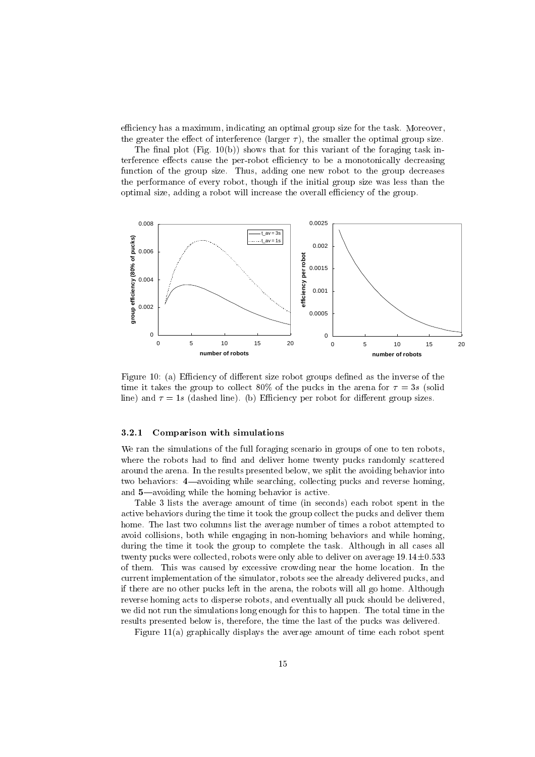efficiency has a maximum, indicating an optimal group size for the task. Moreover, the greater the effect of interference (larger  $\tau$ ), the smaller the optimal group size.

The final plot (Fig.  $10(b)$ ) shows that for this variant of the foraging task interference effects cause the per-robot efficiency to be a monotonically decreasing function of the group size. Thus, adding one new robot to the group decreases the performance of every robot, though if the initial group size was less than the optimal size, adding a robot will increase the overall efficiency of the group.



Figure 10: (a) Efficiency of different size robot groups defined as the inverse of the time it takes the group to collect 80% of the pucks in the arena for  $\tau = 3s$  (solid line) and  $\tau = 1s$  (dashed line). (b) Efficiency per robot for different group sizes.

### 3.2.1 Comparison with simulations

We ran the simulations of the full foraging scenario in groups of one to ten robots, where the robots had to find and deliver home twenty pucks randomly scattered around the arena. In the results presented below, we split the avoiding behavior into two behaviors:  $4$ —avoiding while searching, collecting pucks and reverse homing, and  $5$ —avoiding while the homing behavior is active.

Table 3 lists the average amount of time (in seconds) each robot spent in the active behaviors during the time it took the group collect the pucks and deliver them home. The last two columns list the average number of times a robot attempted to avoid collisions, both while engaging in non-homing behaviors and while homing, during the time it took the group to complete the task. Although in all cases all twenty pucks were collected, robots were only able to deliver on average  $19.14\pm0.533$ of them. This was caused by excessive crowding near the home location. In the current implementation of the simulator, robots see the already delivered pucks, and if there are no other pucks left in the arena, the robots will all go home. Although reverse homing acts to disperse robots, and eventually all puck should be delivered, we did not run the simulations long enough for this to happen. The total time in the results presented below is, therefore, the time the last of the pucks was delivered.

Figure 11(a) graphically displays the average amount of time each robot spent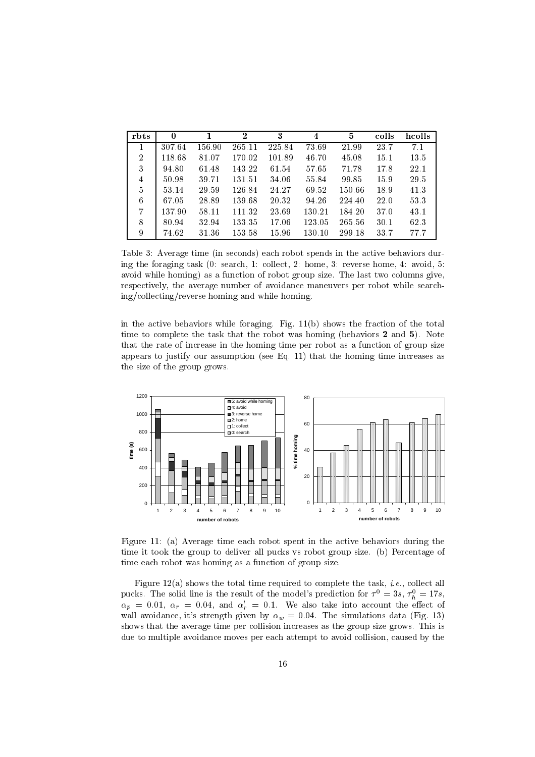| rbts           | $\bf{0}$ |        | $\bf{2}$ | 3      | 4      | 5      | colls | hcolls |
|----------------|----------|--------|----------|--------|--------|--------|-------|--------|
|                | 307.64   | 156.90 | 265.11   | 225.84 | 73.69  | 21.99  | 23.7  | 7.1    |
| $\overline{2}$ | 118.68   | 81.07  | 170.02   | 101.89 | 46.70  | 45.08  | 15.1  | 13.5   |
| 3              | 94.80    | 61.48  | 143.22   | 61.54  | 57.65  | 71.78  | 17.8  | 22.1   |
| $\overline{4}$ | 50.98    | 39.71  | 131.51   | 34.06  | 55.84  | 99.85  | 15.9  | 29.5   |
| 5              | 53.14    | 29.59  | 126.84   | 24.27  | 69.52  | 150.66 | 18.9  | 41.3   |
| 6              | 67.05    | 28.89  | 139.68   | 20.32  | 94.26  | 224.40 | 22.0  | 53.3   |
| 7              | 137.90   | 58.11  | 111.32   | 23.69  | 130.21 | 184.20 | 37.0  | 43.1   |
| 8              | 80.94    | 32.94  | 133.35   | 17.06  | 123.05 | 265 56 | 30.1  | 62.3   |
| 9              | 74.62    | 31.36  | 153.58   | 15.96  | 130.10 | 299.18 | 33.7  | 77.7   |

Table 3: Average time (in seconds) each robot spends in the active behaviors during the foraging task (0: search, 1: collect, 2: home, 3: reverse home, 4: avoid, 5: avoid while homing) as a function of robot group size. The last two columns give, respectively, the average number of avoidance maneuvers per robot while searching/collecting/reverse homing and while homing.

in the active behaviors while foraging. Fig. 11(b) shows the fraction of the total time to complete the task that the robot was homing (behaviors  $2$  and  $5$ ). Note that the rate of increase in the homing time per robot as a function of group size appears to justify our assumption (see Eq. 11) that the homing time increases as the size of the group grows.



Figure 11: (a) Average time each robot spent in the active behaviors during the time it took the group to deliver all pucks vs robot group size. (b) Percentage of time each robot was homing as a function of group size.

Figure 12(a) shows the total time required to complete the task, i.e., collect all pucks. The solid line is the result of the model's prediction for  $\tau^0 = 3s$ ,  $\tau_b^0 = 17s$ ,  $\alpha_p = 0.01, \alpha_r = 0.04, \text{ and } \alpha'_r = 0.1.$  We also take into account the effect of wall avoidance, it's strength given by  $\alpha_w = 0.04$ . The simulations data (Fig. 13) shows that the average time per collision increases as the group size grows. This is due to multiple avoidance moves per each attempt to avoid collision, caused by the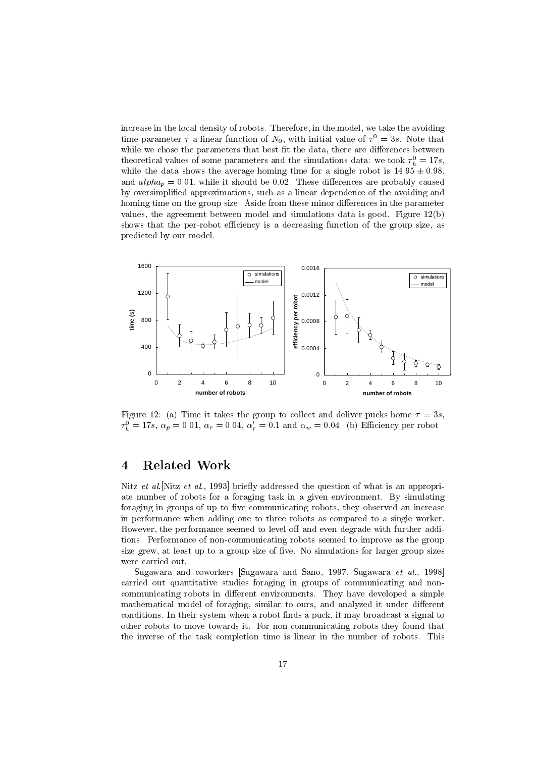increase in the local density of robots. Therefore, in the model, we take the avoiding time parameter  $\tau$  a linear function of  $N_0$ , with initial value of  $\tau^-=$  5s. Note that while we chose the parameters that best fit the data, there are differences between theoretical values of some parameters and the simulations data: we took  $\tau_h^-\equiv$  178, while the data shows the average homing time for a single robot is  $14.95 \pm 0.98$ , and  $alpha_p = 0.01$ , while it should be 0.02. These differences are probably caused by oversimplied approximations, such as a linear dependence of the avoiding and homing time on the group size. Aside from these minor differences in the parameter values, the agreement between model and simulations data is good. Figure 12(b) shows that the per-robot efficiency is a decreasing function of the group size, as predicted by our model.



Figure 12: (a) Time it takes the group to collect and deliver pucks home  $\tau = 3s$ ,  $\tau_h = 1/s$ ,  $\alpha_p = 0.01$ ,  $\alpha_r = 0.04$ ,  $\alpha_r = 0.1$  and  $\alpha_w = 0.04$ . (b) Emerging per robot

### **Related Work**  $\overline{4}$

Nitz et al. [Nitz et al., 1993] briefly addressed the question of what is an appropriate number of robots for a foraging task in a given environment. By simulating foraging in groups of up to five communicating robots, they observed an increase in performance when adding one to three robots as compared to a single worker. However, the performance seemed to level off and even degrade with further additions. Performance of non-communicating robots seemed to improve as the group size grew, at least up to a group size of five. No simulations for larger group sizes were carried out.

Sugawara and coworkers Sugawara and Sano, 1997, Sugawara et al., 1998 carried out quantitative studies foraging in groups of communicating and noncommunicating robots in different environments. They have developed a simple mathematical model of foraging, similar to ours, and analyzed it under different conditions. In their system when a robot finds a puck, it may broadcast a signal to other robots to move towards it. For non-communicating robots they found that the inverse of the task completion time is linear in the number of robots. This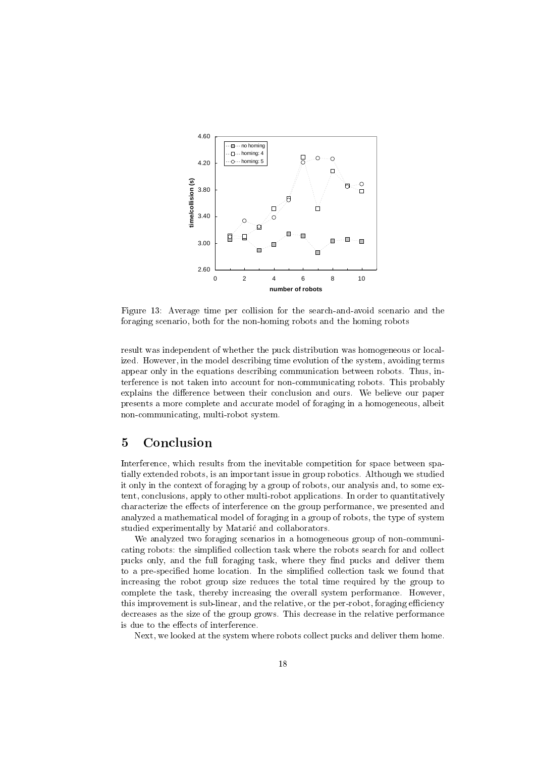

Figure 13: Average time per collision for the search-and-avoid scenario and the foraging scenario, both for the non-homing robots and the homing robots

result was independent of whether the puck distribution was homogeneous or localized. However, in the model describing time evolution of the system, avoiding terms appear only in the equations describing communication between robots. Thus, interference is not taken into account for non-communicating robots. This probably explains the difference between their conclusion and ours. We believe our paper presents a more complete and accurate model of foraging in a homogeneous, albeit non-communicating, multi-robot system.

#### $\overline{5}$ **Conclusion**

Interference, which results from the inevitable competition for space between spatially extended robots, is an important issue in group robotics. Although we studied it only in the context of foraging by a group of robots, our analysis and, to some extent, conclusions, apply to other multi-robot applications. In order to quantitatively characterize the effects of interference on the group performance, we presented and analyzed a mathematical model of foraging in a group of robots, the type of system studied experimentally by Mataric and collaborators.

We analyzed two foraging scenarios in a homogeneous group of non-communicating robots: the simplified collection task where the robots search for and collect pucks only, and the full foraging task, where they find pucks and deliver them to a pre-specied home location. In the simplied collection task we found that increasing the robot group size reduces the total time required by the group to complete the task, thereby increasing the overall system performance. However, this improvement is sub-linear, and the relative, or the per-robot, foraging efficiency decreases as the size of the group grows. This decrease in the relative performance is due to the effects of interference.

Next, we looked at the system where robots collect pucks and deliver them home.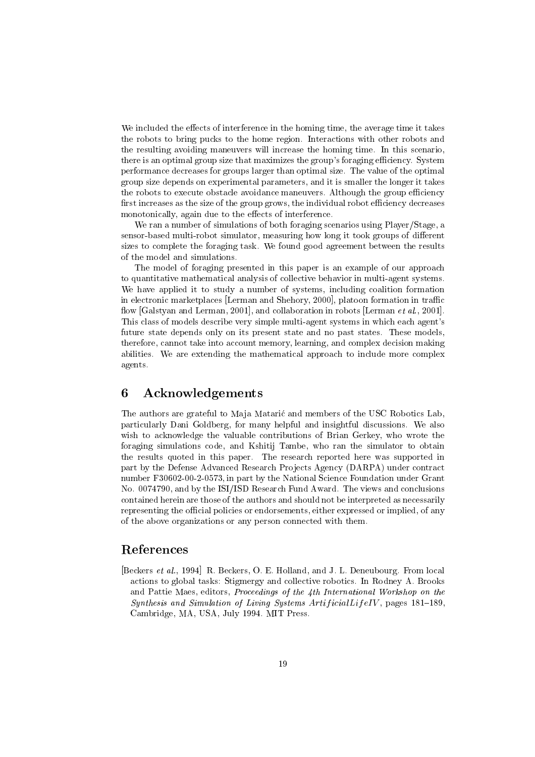We included the effects of interference in the homing time, the average time it takes the robots to bring pucks to the home region. Interactions with other robots and the resulting avoiding maneuvers will increase the homing time. In this scenario, there is an optimal group size that maximizes the group's foraging efficiency. System performance decreases for groups larger than optimal size. The value of the optimal group size depends on experimental parameters, and it is smaller the longer it takes the robots to execute obstacle avoidance maneuvers. Although the group efficiency first increases as the size of the group grows, the individual robot efficiency decreases monotonically, again due to the effects of interference.

We ran a number of simulations of both foraging scenarios using Player/Stage, a sensor-based multi-robot simulator, measuring how long it took groups of different sizes to complete the foraging task. We found good agreement between the results of the model and simulations.

The model of foraging presented in this paper is an example of our approach to quantitative mathematical analysis of collective behavior in multi-agent systems. We have applied it to study a number of systems, including coalition formation in electronic marketplaces [Lerman and Shehory, 2000], platoon formation in traffic flow [Galstyan and Lerman, 2001], and collaboration in robots [Lerman et al., 2001]. This class of models describe very simple multi-agent systems in which each agent's future state depends only on its present state and no past states. These models, therefore, cannot take into account memory, learning, and complex decision making abilities. We are extending the mathematical approach to include more complex agents.

### 6 **Acknowledgements**

The authors are grateful to Maia Mataric and members of the USC Robotics Lab. particularly Dani Goldberg, for many helpful and insightful discussions. We also wish to acknowledge the valuable contributions of Brian Gerkey, who wrote the foraging simulations code, and Kshitij Tambe, who ran the simulator to obtain the results quoted in this paper. The research reported here was supported in part by the Defense Advanced Research Projects Agency (DARPA) under contract number F30602-00-2-0573, in part by the National Science Foundation under Grant No. 0074790, and by the ISI/ISD Research Fund Award. The views and conclusions contained herein are those of the authors and should not be interpreted as necessarily representing the official policies or endorsements, either expressed or implied, of any of the above organizations or any person connected with them.

## References

[Beckers et al., 1994] R. Beckers, O. E. Holland, and J. L. Deneubourg. From local actions to global tasks: Stigmergy and collective robotics. In Rodney A. Brooks and Pattie Maes, editors, Proceedings of the 4th International Workshop on the Synthesis and Simulation of Living Systems  $ArtificialLifeIV$ , pages 181-189, Cambridge, MA, USA, July 1994. MIT Press.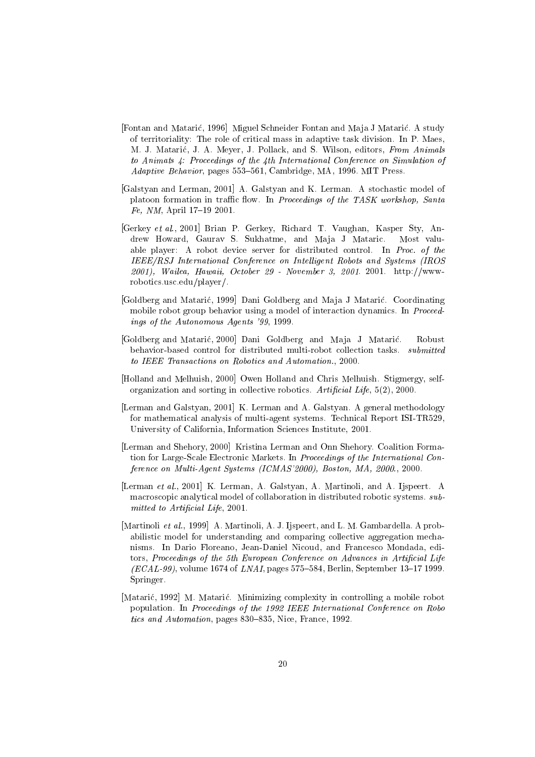- [Fontan and Matarić, 1996] Miguel Schneider Fontan and Maja J Matarić. A study of territoriality: The role of critical mass in adaptive task division. In P. Maes, M. J. Mataric, J. A. Meyer, J. Pollack, and S. Wilson, editors, From Animals to Animats 4: Proceedings of the 4th International Conference on Simulation of Adaptive Behavior, pages 553-561, Cambridge, MA, 1996. MIT Press.
- [Galstyan and Lerman, 2001] A. Galstyan and K. Lerman. A stochastic model of platoon formation in traffic flow. In Proceedings of the TASK workshop, Santa  $Fe, NM, April 17–19 2001.$
- [Gerkey et al., 2001] Brian P. Gerkey, Richard T. Vaughan, Kasper Sty, Andrew Howard, Gaurav S. Sukhatme, and Maja J Mataric. Most valuable player: A robot device server for distributed control. In Proc. of the IEEE/RSJ International Conference on Intelligent Robots and Systems (IROS 2001), Wailea, Hawaii, October 29 - November 3, 2001. 2001. http://wwwrobotics.usc.edu/player/.
- [Goldberg and Matarić, 1999] Dani Goldberg and Maja J Matarić. Coordinating mobile robot group behavior using a model of interaction dynamics. In Proceedings of the Autonomous Agents '99, 1999.
- [Goldberg and Mataric, 2000] Dani Goldberg and Maja J Mataric. Robust behavior-based control for distributed multi-robot collection tasks. submitted to IEEE Transactions on Robotics and Automation., 2000.
- [Holland and Melhuish, 2000] Owen Holland and Chris Melhuish. Stigmergy, selforganization and sorting in collective robotics. Artificial Life,  $5(2)$ , 2000.
- [Lerman and Galstyan, 2001] K. Lerman and A. Galstyan. A general methodology for mathematical analysis of multi-agent systems. Technical Report ISI-TR529, University of California, Information Sciences Institute, 2001.
- [Lerman and Shehory, 2000] Kristina Lerman and Onn Shehory. Coalition Formation for Large-Scale Electronic Markets. In Proceedings of the International Conference on Multi-Agent Systems (ICMAS'2000), Boston, MA, 2000., 2000.
- [Lerman et al., 2001] K. Lerman, A. Galstyan, A. Martinoli, and A. Ijspeert. A macroscopic analytical model of collaboration in distributed robotic systems. submitted to Artificial Life, 2001.
- [Martinoli et al., 1999] A. Martinoli, A. J. Ijspeert, and L. M. Gambardella. A probabilistic model for understanding and comparing collective aggregation mechanisms. In Dario Floreano, Jean-Daniel Nicoud, and Francesco Mondada, editors, Proceedings of the 5th European Conference on Advances in Artificial Life  $(ECAL-99)$ , volume 1674 of *LNAI*, pages 575-584, Berlin, September 13-17 1999. Springer.
- [Mataric, 1992] M. Mataric. Minimizing complexity in controlling a mobile robot population. In Proceedings of the 1992 IEEE International Conference on Robo tics and Automation, pages 830-835, Nice, France, 1992.